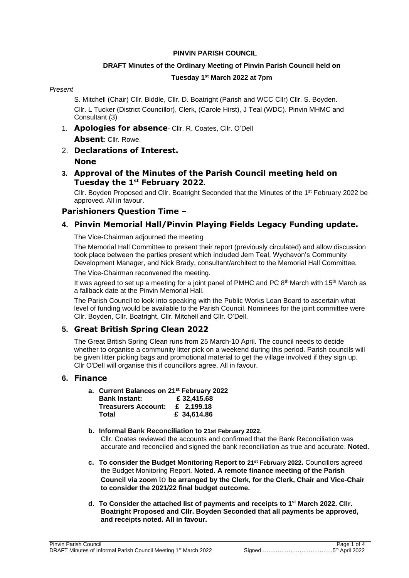#### **PINVIN PARISH COUNCIL**

#### **DRAFT Minutes of the Ordinary Meeting of Pinvin Parish Council held on**

#### **Tuesday 1 st March 2022 at 7pm**

#### *Present*

S. Mitchell (Chair) Cllr. Biddle, Cllr. D. Boatright (Parish and WCC Cllr) Cllr. S. Boyden. Cllr. L Tucker (District Councillor), Clerk, (Carole Hirst), J Teal (WDC). Pinvin MHMC and Consultant (3)

- 1. **Apologies for absence** Cllr. R. Coates, Cllr. O'Dell **Absent**: Cllr. Rowe.
- 2. **Declarations of Interest. None**

### **3. Approval of the Minutes of the Parish Council meeting held on Tuesday the 1 st February 2022.**

Cllr. Boyden Proposed and Cllr. Boatright Seconded that the Minutes of the 1<sup>st</sup> February 2022 be approved. All in favour.

## **Parishioners Question Time –**

# **4. Pinvin Memorial Hall/Pinvin Playing Fields Legacy Funding update.**

The Vice-Chairman adjourned the meeting

The Memorial Hall Committee to present their report (previously circulated) and allow discussion took place between the parties present which included Jem Teal, Wychavon's Community Development Manager, and Nick Brady, consultant/architect to the Memorial Hall Committee.

The Vice-Chairman reconvened the meeting.

It was agreed to set up a meeting for a joint panel of PMHC and PC 8<sup>th</sup> March with 15<sup>th</sup> March as a fallback date at the Pinvin Memorial Hall.

The Parish Council to look into speaking with the Public Works Loan Board to ascertain what level of funding would be available to the Parish Council. Nominees for the joint committee were Cllr. Boyden, Cllr. Boatright, Cllr. Mitchell and Cllr. O'Dell.

# **5. Great British Spring Clean 2022**

The Great British Spring Clean runs from 25 March-10 April. The council needs to decide whether to organise a community litter pick on a weekend during this period. Parish councils will be given litter picking bags and promotional material to get the village involved if they sign up. Cllr O'Dell will organise this if councillors agree. All in favour.

## **6. Finance**

| a. Current Balances on 21st February 2022 |             |
|-------------------------------------------|-------------|
| <b>Bank Instant:</b>                      | £32,415.68  |
| <b>Treasurers Account:</b>                | £ 2.199.18  |
| Total                                     | £ 34,614.86 |

- **b. Informal Bank Reconciliation to 21st February 2022.** Cllr. Coates reviewed the accounts and confirmed that the Bank Reconciliation was accurate and reconciled and signed the bank reconciliation as true and accurate. **Noted.**
- **c. To consider the Budget Monitoring Report to 21 st February 2022.** Councillors agreed the Budget Monitoring Report. **Noted. A remote finance meeting of the Parish Council via zoom** to **be arranged by the Clerk, for the Clerk, Chair and Vice-Chair to consider the 2021/22 final budget outcome.**
- **d. To Consider the attached list of payments and receipts to 1 st March 2022. Cllr. Boatright Proposed and Cllr. Boyden Seconded that all payments be approved, and receipts noted. All in favour.**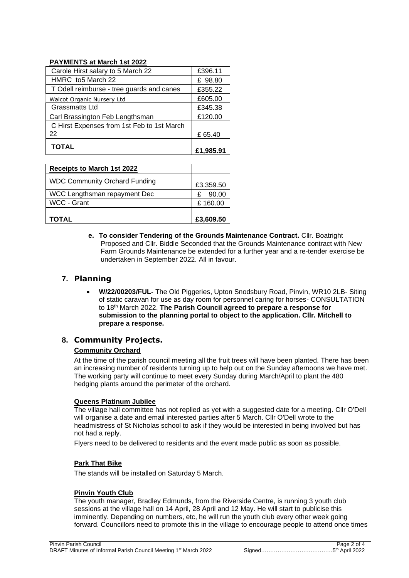#### **PAYMENTS at March 1st 2022**

| Carl Brassington Feb Lengthsman<br>C Hirst Expenses from 1st Feb to 1st March<br>22 | £65.40  |
|-------------------------------------------------------------------------------------|---------|
|                                                                                     |         |
|                                                                                     |         |
|                                                                                     | £120.00 |
| <b>Grassmatts Ltd</b>                                                               | £345.38 |
| Walcot Organic Nursery Ltd                                                          | £605.00 |
| T Odell reimburse - tree guards and canes                                           | £355.22 |
| HMRC to 5 March 22                                                                  | £ 98.80 |
| Carole Hirst salary to 5 March 22                                                   | £396.11 |

| <b>Receipts to March 1st 2022</b>    |            |
|--------------------------------------|------------|
| <b>WDC Community Orchard Funding</b> | £3,359.50  |
| WCC Lengthsman repayment Dec         | 90.00<br>£ |
| WCC - Grant                          | £160.00    |
| <b>TOTAL</b>                         | £3,609.50  |

**e. To consider Tendering of the Grounds Maintenance Contract.** Cllr. Boatright Proposed and Cllr. Biddle Seconded that the Grounds Maintenance contract with New Farm Grounds Maintenance be extended for a further year and a re-tender exercise be undertaken in September 2022. All in favour.

## **7. Planning**

• **W/22/00203/FUL-** The Old Piggeries, Upton Snodsbury Road, Pinvin, WR10 2LB- Siting of static caravan for use as day room for personnel caring for horses- CONSULTATION to 18th March 2022. **The Parish Council agreed to prepare a response for submission to the planning portal to object to the application. Cllr. Mitchell to prepare a response.**

#### **8. Community Projects.**

#### **Community Orchard**

At the time of the parish council meeting all the fruit trees will have been planted. There has been an increasing number of residents turning up to help out on the Sunday afternoons we have met. The working party will continue to meet every Sunday during March/April to plant the 480 hedging plants around the perimeter of the orchard.

#### **Queens Platinum Jubilee**

The village hall committee has not replied as yet with a suggested date for a meeting. Cllr O'Dell will organise a date and email interested parties after 5 March. Cllr O'Dell wrote to the headmistress of St Nicholas school to ask if they would be interested in being involved but has not had a reply.

Flyers need to be delivered to residents and the event made public as soon as possible.

#### **Park That Bike**

The stands will be installed on Saturday 5 March.

#### **Pinvin Youth Club**

The youth manager, Bradley Edmunds, from the Riverside Centre, is running 3 youth club sessions at the village hall on 14 April, 28 April and 12 May. He will start to publicise this imminently. Depending on numbers, etc, he will run the youth club every other week going forward. Councillors need to promote this in the village to encourage people to attend once times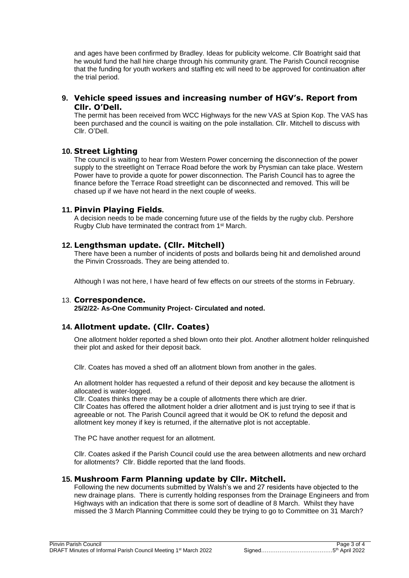and ages have been confirmed by Bradley. Ideas for publicity welcome. Cllr Boatright said that he would fund the hall hire charge through his community grant. The Parish Council recognise that the funding for youth workers and staffing etc will need to be approved for continuation after the trial period.

#### **9. Vehicle speed issues and increasing number of HGV's. Report from Cllr. O'Dell.**

The permit has been received from WCC Highways for the new VAS at Spion Kop. The VAS has been purchased and the council is waiting on the pole installation. Cllr. Mitchell to discuss with Cllr. O'Dell.

### **10. Street Lighting**

The council is waiting to hear from Western Power concerning the disconnection of the power supply to the streetlight on Terrace Road before the work by Prysmian can take place. Western Power have to provide a quote for power disconnection. The Parish Council has to agree the finance before the Terrace Road streetlight can be disconnected and removed. This will be chased up if we have not heard in the next couple of weeks.

#### **11. Pinvin Playing Fields.**

A decision needs to be made concerning future use of the fields by the rugby club. Pershore Rugby Club have terminated the contract from 1st March.

### **12. Lengthsman update. (Cllr. Mitchell)**

There have been a number of incidents of posts and bollards being hit and demolished around the Pinvin Crossroads. They are being attended to.

Although I was not here, I have heard of few effects on our streets of the storms in February.

#### 13. **Correspondence.**

**25/2/22- As-One Community Project- Circulated and noted.**

## **14. Allotment update. (Cllr. Coates)**

One allotment holder reported a shed blown onto their plot. Another allotment holder relinquished their plot and asked for their deposit back.

Cllr. Coates has moved a shed off an allotment blown from another in the gales.

An allotment holder has requested a refund of their deposit and key because the allotment is allocated is water-logged.

Cllr. Coates thinks there may be a couple of allotments there which are drier. Cllr Coates has offered the allotment holder a drier allotment and is just trying to see if that is agreeable or not. The Parish Council agreed that it would be OK to refund the deposit and allotment key money if key is returned, if the alternative plot is not acceptable.

The PC have another request for an allotment.

Cllr. Coates asked if the Parish Council could use the area between allotments and new orchard for allotments? Cllr. Biddle reported that the land floods.

#### **15. Mushroom Farm Planning update by Cllr. Mitchell.**

Following the new documents submitted by Walsh's we and 27 residents have objected to the new drainage plans. There is currently holding responses from the Drainage Engineers and from Highways with an indication that there is some sort of deadline of 8 March. Whilst they have missed the 3 March Planning Committee could they be trying to go to Committee on 31 March?